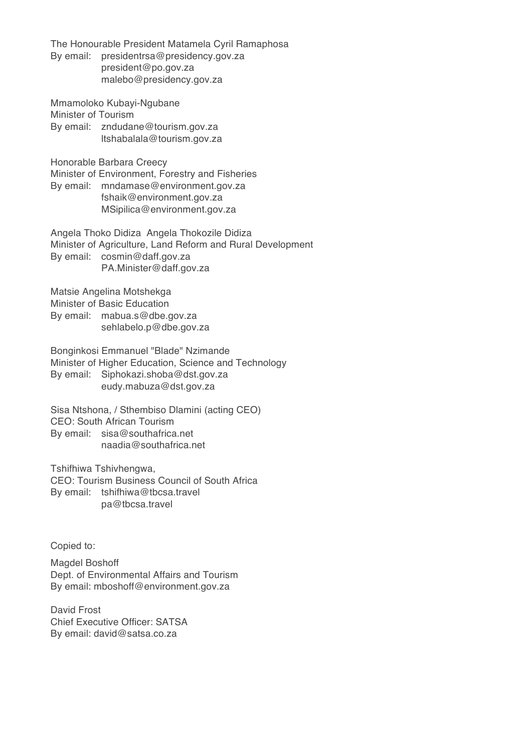The Honourable President Matamela Cyril Ramaphosa By email: presidentrsa@presidency.gov.za president@po.gov.za malebo@presidency.gov.za

Mmamoloko Kubayi-Ngubane

Minister of Tourism

By email: zndudane@tourism.gov.za ltshabalala@tourism.gov.za

Honorable Barbara Creecy

Minister of Environment, Forestry and Fisheries By email: mndamase@environment.gov.za fshaik@environment.gov.za MSipilica@environment.gov.za

Angela Thoko Didiza Angela Thokozile Didiza Minister of Agriculture, Land Reform and Rural Development By email: cosmin@daff.gov.za PA.Minister@daff.gov.za

Matsie Angelina Motshekga

Minister of Basic Education

By email: mabua.s@dbe.gov.za sehlabelo.p@dbe.gov.za

Bonginkosi Emmanuel "Blade" Nzimande Minister of Higher Education, Science and Technology By email: Siphokazi.shoba@dst.gov.za eudy.mabuza@dst.gov.za

Sisa Ntshona, / Sthembiso Dlamini (acting CEO) CEO: South African Tourism By email: sisa@southafrica.net naadia@southafrica.net

Tshifhiwa Tshivhengwa,

CEO: Tourism Business Council of South Africa By email: tshifhiwa@tbcsa.travel pa@tbcsa.travel

Copied to:

Magdel Boshoff Dept. of Environmental Affairs and Tourism By email: mboshoff@environment.gov.za

David Frost Chief Executive Officer: SATSA By email: david@satsa.co.za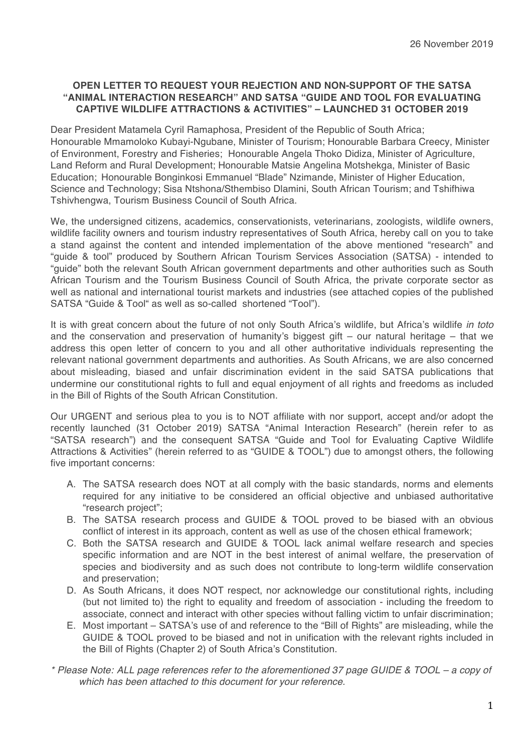# **OPEN LETTER TO REQUEST YOUR REJECTION AND NON-SUPPORT OF THE SATSA "ANIMAL INTERACTION RESEARCH" AND SATSA "GUIDE AND TOOL FOR EVALUATING CAPTIVE WILDLIFE ATTRACTIONS & ACTIVITIES" – LAUNCHED 31 OCTOBER 2019**

Dear President Matamela Cyril Ramaphosa, President of the Republic of South Africa; Honourable Mmamoloko Kubayi-Ngubane, Minister of Tourism; Honourable Barbara Creecy, Minister of Environment, Forestry and Fisheries; Honourable Angela Thoko Didiza, Minister of Agriculture, Land Reform and Rural Development; Honourable Matsie Angelina Motshekga, Minister of Basic Education; Honourable Bonginkosi Emmanuel "Blade" Nzimande, Minister of Higher Education, Science and Technology; Sisa Ntshona/Sthembiso Dlamini, South African Tourism; and Tshifhiwa Tshivhengwa, Tourism Business Council of South Africa.

We, the undersigned citizens, academics, conservationists, veterinarians, zoologists, wildlife owners, wildlife facility owners and tourism industry representatives of South Africa, hereby call on you to take a stand against the content and intended implementation of the above mentioned "research" and "guide & tool" produced by Southern African Tourism Services Association (SATSA) - intended to "guide" both the relevant South African government departments and other authorities such as South African Tourism and the Tourism Business Council of South Africa, the private corporate sector as well as national and international tourist markets and industries (see attached copies of the published SATSA "Guide & Tool" as well as so-called shortened "Tool").

It is with great concern about the future of not only South Africa's wildlife, but Africa's wildlife *in toto* and the conservation and preservation of humanity's biggest gift – our natural heritage – that we address this open letter of concern to you and all other authoritative individuals representing the relevant national government departments and authorities. As South Africans, we are also concerned about misleading, biased and unfair discrimination evident in the said SATSA publications that undermine our constitutional rights to full and equal enjoyment of all rights and freedoms as included in the Bill of Rights of the South African Constitution.

Our URGENT and serious plea to you is to NOT affiliate with nor support, accept and/or adopt the recently launched (31 October 2019) SATSA "Animal Interaction Research" (herein refer to as "SATSA research") and the consequent SATSA "Guide and Tool for Evaluating Captive Wildlife Attractions & Activities" (herein referred to as "GUIDE & TOOL") due to amongst others, the following five important concerns:

- A. The SATSA research does NOT at all comply with the basic standards, norms and elements required for any initiative to be considered an official objective and unbiased authoritative "research project";
- B. The SATSA research process and GUIDE & TOOL proved to be biased with an obvious conflict of interest in its approach, content as well as use of the chosen ethical framework;
- C. Both the SATSA research and GUIDE & TOOL lack animal welfare research and species specific information and are NOT in the best interest of animal welfare, the preservation of species and biodiversity and as such does not contribute to long-term wildlife conservation and preservation;
- D. As South Africans, it does NOT respect, nor acknowledge our constitutional rights, including (but not limited to) the right to equality and freedom of association - including the freedom to associate, connect and interact with other species without falling victim to unfair discrimination;
- E. Most important SATSA's use of and reference to the "Bill of Rights" are misleading, while the GUIDE & TOOL proved to be biased and not in unification with the relevant rights included in the Bill of Rights (Chapter 2) of South Africa's Constitution.
- *\* Please Note: ALL page references refer to the aforementioned 37 page GUIDE & TOOL a copy of which has been attached to this document for your reference.*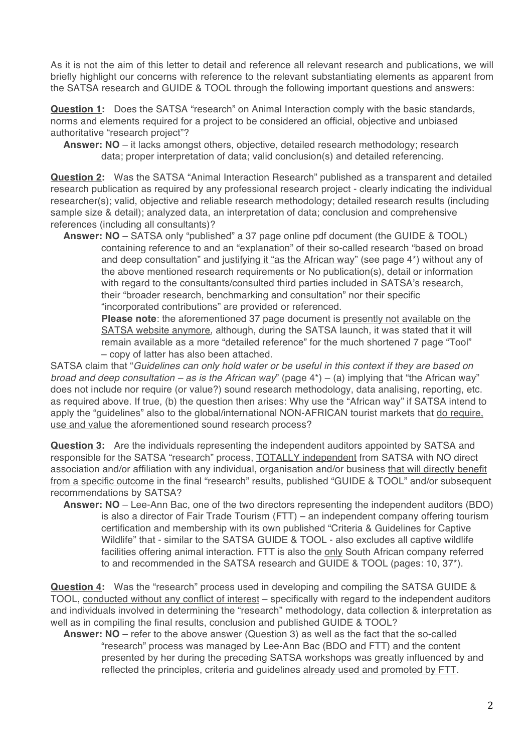As it is not the aim of this letter to detail and reference all relevant research and publications, we will briefly highlight our concerns with reference to the relevant substantiating elements as apparent from the SATSA research and GUIDE & TOOL through the following important questions and answers:

**Question 1:** Does the SATSA "research" on Animal Interaction comply with the basic standards, norms and elements required for a project to be considered an official, objective and unbiased authoritative "research project"?

**Answer: NO** – it lacks amongst others, objective, detailed research methodology; research data; proper interpretation of data; valid conclusion(s) and detailed referencing.

**Question 2:** Was the SATSA "Animal Interaction Research" published as a transparent and detailed research publication as required by any professional research project - clearly indicating the individual researcher(s); valid, objective and reliable research methodology; detailed research results (including sample size & detail); analyzed data, an interpretation of data; conclusion and comprehensive references (including all consultants)?

**Answer: NO** – SATSA only "published" a 37 page online pdf document (the GUIDE & TOOL) containing reference to and an "explanation" of their so-called research "based on broad and deep consultation" and justifying it "as the African way" (see page 4\*) without any of the above mentioned research requirements or No publication(s), detail or information with regard to the consultants/consulted third parties included in SATSA's research, their "broader research, benchmarking and consultation" nor their specific "incorporated contributions" are provided or referenced.

**Please note**: the aforementioned 37 page document is presently not available on the SATSA website anymore, although, during the SATSA launch, it was stated that it will remain available as a more "detailed reference" for the much shortened 7 page "Tool" – copy of latter has also been attached.

SATSA claim that "*Guidelines can only hold water or be useful in this context if they are based on broad and deep consultation – as is the African way*" (page 4\*) – (a) implying that "the African way" does not include nor require (or value?) sound research methodology, data analising, reporting, etc. as required above. If true, (b) the question then arises: Why use the "African way" if SATSA intend to apply the "guidelines" also to the global/international NON-AFRICAN tourist markets that do require, use and value the aforementioned sound research process?

**Question 3:** Are the individuals representing the independent auditors appointed by SATSA and responsible for the SATSA "research" process, TOTALLY independent from SATSA with NO direct association and/or affiliation with any individual, organisation and/or business that will directly benefit from a specific outcome in the final "research" results, published "GUIDE & TOOL" and/or subsequent recommendations by SATSA?

**Answer: NO** – Lee-Ann Bac, one of the two directors representing the independent auditors (BDO) is also a director of Fair Trade Tourism (FTT) – an independent company offering tourism certification and membership with its own published "Criteria & Guidelines for Captive Wildlife" that - similar to the SATSA GUIDE & TOOL - also excludes all captive wildlife facilities offering animal interaction. FTT is also the only South African company referred to and recommended in the SATSA research and GUIDE & TOOL (pages: 10, 37\*).

**Question 4:** Was the "research" process used in developing and compiling the SATSA GUIDE & TOOL, conducted without any conflict of interest – specifically with regard to the independent auditors and individuals involved in determining the "research" methodology, data collection & interpretation as well as in compiling the final results, conclusion and published GUIDE & TOOL?

**Answer: NO** – refer to the above answer (Question 3) as well as the fact that the so-called "research" process was managed by Lee-Ann Bac (BDO and FTT) and the content presented by her during the preceding SATSA workshops was greatly influenced by and reflected the principles, criteria and guidelines already used and promoted by FTT.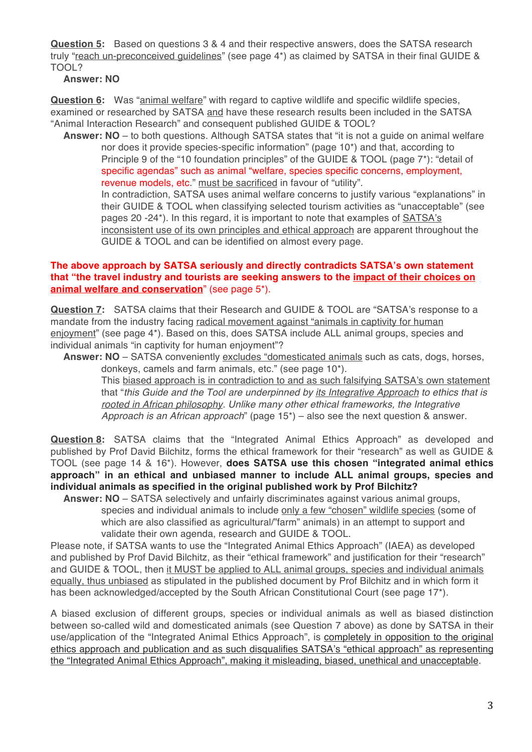**Question 5:** Based on questions 3 & 4 and their respective answers, does the SATSA research truly "reach un-preconceived guidelines" (see page 4\*) as claimed by SATSA in their final GUIDE & TOOL?

## **Answer: NO**

**Question 6:** Was "animal welfare" with regard to captive wildlife and specific wildlife species, examined or researched by SATSA and have these research results been included in the SATSA "Animal Interaction Research" and consequent published GUIDE & TOOL?

**Answer: NO** – to both questions. Although SATSA states that "it is not a guide on animal welfare nor does it provide species-specific information" (page 10\*) and that, according to Principle 9 of the "10 foundation principles" of the GUIDE & TOOL (page 7\*): "detail of specific agendas" such as animal "welfare, species specific concerns, employment, revenue models, etc." must be sacrificed in favour of "utility".

In contradiction, SATSA uses animal welfare concerns to justify various "explanations" in their GUIDE & TOOL when classifying selected tourism activities as "unacceptable" (see pages 20 -24\*). In this regard, it is important to note that examples of SATSA's inconsistent use of its own principles and ethical approach are apparent throughout the GUIDE & TOOL and can be identified on almost every page.

#### **The above approach by SATSA seriously and directly contradicts SATSA's own statement that "the travel industry and tourists are seeking answers to the impact of their choices on animal welfare and conservation**" (see page 5\*).

**Question 7:** SATSA claims that their Research and GUIDE & TOOL are "SATSA's response to a mandate from the industry facing radical movement against "animals in captivity for human enjoyment" (see page 4\*). Based on this, does SATSA include ALL animal groups, species and individual animals "in captivity for human enjoyment"?

**Answer: NO** – SATSA conveniently excludes "domesticated animals such as cats, dogs, horses, donkeys, camels and farm animals, etc." (see page 10\*).

This biased approach is in contradiction to and as such falsifying SATSA's own statement that "*this Guide and the Tool are underpinned by its Integrative Approach to ethics that is rooted in African philosophy. Unlike many other ethical frameworks, the Integrative Approach is an African approach*" (page 15\*) – also see the next question & answer.

**Question 8:** SATSA claims that the "Integrated Animal Ethics Approach" as developed and published by Prof David Bilchitz, forms the ethical framework for their "research" as well as GUIDE & TOOL (see page 14 & 16\*). However, **does SATSA use this chosen "integrated animal ethics approach" in an ethical and unbiased manner to include ALL animal groups, species and individual animals as specified in the original published work by Prof Bilchitz?**

**Answer: NO** – SATSA selectively and unfairly discriminates against various animal groups, species and individual animals to include only a few "chosen" wildlife species (some of which are also classified as agricultural/"farm" animals) in an attempt to support and validate their own agenda, research and GUIDE & TOOL.

Please note, if SATSA wants to use the "Integrated Animal Ethics Approach" (IAEA) as developed and published by Prof David Bilchitz, as their "ethical framework" and justification for their "research" and GUIDE & TOOL, then it MUST be applied to ALL animal groups, species and individual animals equally, thus unbiased as stipulated in the published document by Prof Bilchitz and in which form it has been acknowledged/accepted by the South African Constitutional Court (see page 17\*).

A biased exclusion of different groups, species or individual animals as well as biased distinction between so-called wild and domesticated animals (see Question 7 above) as done by SATSA in their use/application of the "Integrated Animal Ethics Approach", is completely in opposition to the original ethics approach and publication and as such disqualifies SATSA's "ethical approach" as representing the "Integrated Animal Ethics Approach", making it misleading, biased, unethical and unacceptable.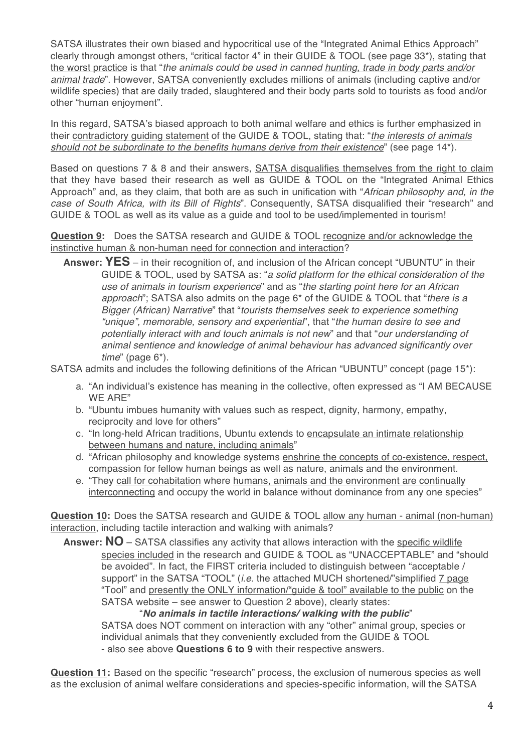SATSA illustrates their own biased and hypocritical use of the "Integrated Animal Ethics Approach" clearly through amongst others, "critical factor 4" in their GUIDE & TOOL (see page 33\*), stating that the worst practice is that "*the animals could be used in canned hunting, trade in body parts and/or animal trade*". However, SATSA conveniently excludes millions of animals (including captive and/or wildlife species) that are daily traded, slaughtered and their body parts sold to tourists as food and/or other "human enjoyment".

In this regard, SATSA's biased approach to both animal welfare and ethics is further emphasized in their contradictory guiding statement of the GUIDE & TOOL, stating that: "*the interests of animals should not be subordinate to the benefits humans derive from their existence*" (see page 14\*).

Based on questions 7 & 8 and their answers, SATSA disqualifies themselves from the right to claim that they have based their research as well as GUIDE & TOOL on the "Integrated Animal Ethics Approach" and, as they claim, that both are as such in unification with "*African philosophy and, in the case of South Africa, with its Bill of Rights*". Consequently, SATSA disqualified their "research" and GUIDE & TOOL as well as its value as a guide and tool to be used/implemented in tourism!

**Question 9:** Does the SATSA research and GUIDE & TOOL recognize and/or acknowledge the instinctive human & non-human need for connection and interaction?

**Answer: YES** – in their recognition of, and inclusion of the African concept "UBUNTU" in their GUIDE & TOOL, used by SATSA as: "*a solid platform for the ethical consideration of the use of animals in tourism experience*" and as "*the starting point here for an African approach*"; SATSA also admits on the page 6\* of the GUIDE & TOOL that "*there is a Bigger (African) Narrative*" that "*tourists themselves seek to experience something "unique", memorable, sensory and experiential*", that "*the human desire to see and potentially interact with and touch animals is not new*" and that "*our understanding of animal sentience and knowledge of animal behaviour has advanced significantly over time*" (page 6\*).

SATSA admits and includes the following definitions of the African "UBUNTU" concept (page 15\*):

- a. "An individual's existence has meaning in the collective, often expressed as "I AM BECAUSE WE ARE"
- b. "Ubuntu imbues humanity with values such as respect, dignity, harmony, empathy, reciprocity and love for others"
- c. "In long-held African traditions, Ubuntu extends to encapsulate an intimate relationship between humans and nature, including animals"
- d. "African philosophy and knowledge systems enshrine the concepts of co-existence, respect, compassion for fellow human beings as well as nature, animals and the environment.
- e. "They call for cohabitation where humans, animals and the environment are continually interconnecting and occupy the world in balance without dominance from any one species"

**Question 10:** Does the SATSA research and GUIDE & TOOL allow any human - animal (non-human) interaction, including tactile interaction and walking with animals?

Answer: NO – SATSA classifies any activity that allows interaction with the specific wildlife species included in the research and GUIDE & TOOL as "UNACCEPTABLE" and "should be avoided". In fact, the FIRST criteria included to distinguish between "acceptable / support" in the SATSA "TOOL" (*i.e.* the attached MUCH shortened/"simplified 7 page "Tool" and presently the ONLY information/"guide & tool" available to the public on the SATSA website – see answer to Question 2 above), clearly states:

"*No animals in tactile interactions/ walking with the public*" SATSA does NOT comment on interaction with any "other" animal group, species or individual animals that they conveniently excluded from the GUIDE & TOOL - also see above **Questions 6 to 9** with their respective answers.

**Question 11:** Based on the specific "research" process, the exclusion of numerous species as well as the exclusion of animal welfare considerations and species-specific information, will the SATSA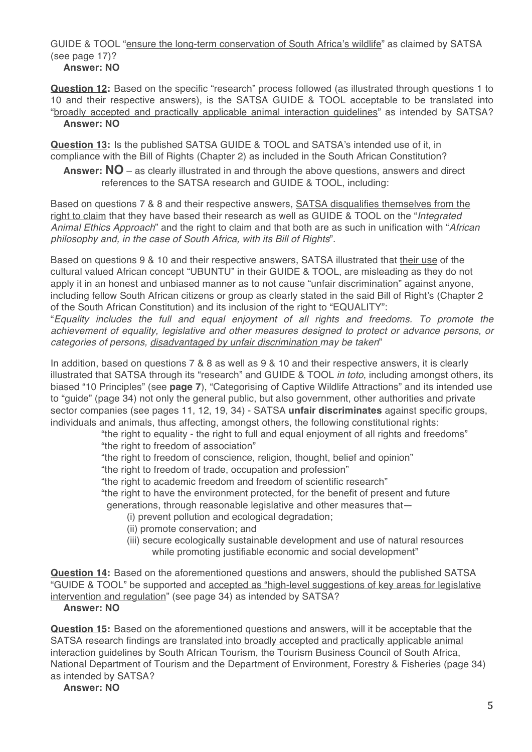GUIDE & TOOL "ensure the long-term conservation of South Africa's wildlife" as claimed by SATSA (see page 17)? **Answer: NO**

**Question 12:** Based on the specific "research" process followed (as illustrated through questions 1 to 10 and their respective answers), is the SATSA GUIDE & TOOL acceptable to be translated into "broadly accepted and practically applicable animal interaction guidelines" as intended by SATSA? **Answer: NO**

**Question 13:** Is the published SATSA GUIDE & TOOL and SATSA's intended use of it, in compliance with the Bill of Rights (Chapter 2) as included in the South African Constitution?

**Answer: NO** – as clearly illustrated in and through the above questions, answers and direct references to the SATSA research and GUIDE & TOOL, including:

Based on questions 7 & 8 and their respective answers, **SATSA** disqualifies themselves from the right to claim that they have based their research as well as GUIDE & TOOL on the "*Integrated Animal Ethics Approach*" and the right to claim and that both are as such in unification with "*African philosophy and, in the case of South Africa, with its Bill of Rights*".

Based on questions 9 & 10 and their respective answers, SATSA illustrated that their use of the cultural valued African concept "UBUNTU" in their GUIDE & TOOL, are misleading as they do not apply it in an honest and unbiased manner as to not cause "unfair discrimination" against anyone, including fellow South African citizens or group as clearly stated in the said Bill of Right's (Chapter 2) of the South African Constitution) and its inclusion of the right to "EQUALITY":

"*Equality includes the full and equal enjoyment of all rights and freedoms. To promote the achievement of equality, legislative and other measures designed to protect or advance persons, or categories of persons, disadvantaged by unfair discrimination may be taken*"

In addition, based on questions 7 & 8 as well as 9 & 10 and their respective answers, it is clearly illustrated that SATSA through its "research" and GUIDE & TOOL *in toto*, including amongst others, its biased "10 Principles" (see **page 7**), "Categorising of Captive Wildlife Attractions" and its intended use to "guide" (page 34) not only the general public, but also government, other authorities and private sector companies (see pages 11, 12, 19, 34) - SATSA **unfair discriminates** against specific groups, individuals and animals, thus affecting, amongst others, the following constitutional rights:

"the right to equality - the right to full and equal enjoyment of all rights and freedoms" "the right to freedom of association"

"the right to freedom of conscience, religion, thought, belief and opinion"

"the right to freedom of trade, occupation and profession"

"the right to academic freedom and freedom of scientific research"

"the right to have the environment protected, for the benefit of present and future

generations, through reasonable legislative and other measures that—

- (i) prevent pollution and ecological degradation;
- (ii) promote conservation; and
- (iii) secure ecologically sustainable development and use of natural resources while promoting justifiable economic and social development"

**Question 14:** Based on the aforementioned questions and answers, should the published SATSA "GUIDE & TOOL" be supported and accepted as "high-level suggestions of key areas for legislative intervention and regulation" (see page 34) as intended by SATSA?

# **Answer: NO**

**Question 15:** Based on the aforementioned questions and answers, will it be acceptable that the SATSA research findings are translated into broadly accepted and practically applicable animal interaction guidelines by South African Tourism, the Tourism Business Council of South Africa, National Department of Tourism and the Department of Environment, Forestry & Fisheries (page 34) as intended by SATSA?

**Answer: NO**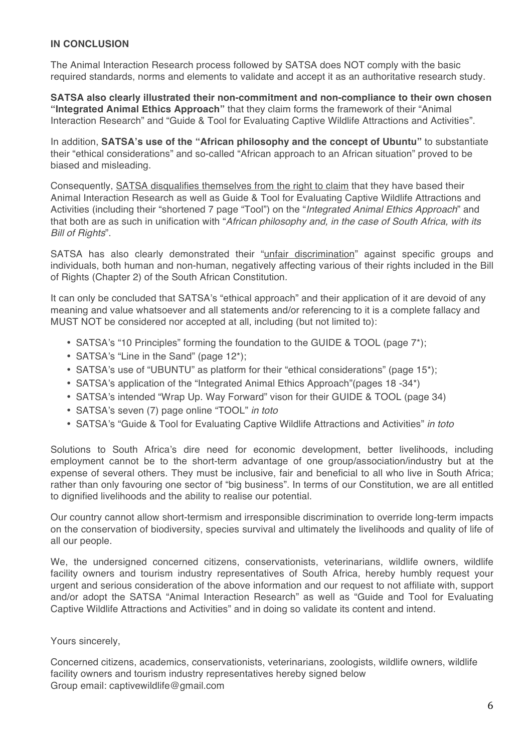# **IN CONCLUSION**

The Animal Interaction Research process followed by SATSA does NOT comply with the basic required standards, norms and elements to validate and accept it as an authoritative research study.

**SATSA also clearly illustrated their non-commitment and non-compliance to their own chosen "Integrated Animal Ethics Approach"** that they claim forms the framework of their "Animal Interaction Research" and "Guide & Tool for Evaluating Captive Wildlife Attractions and Activities".

In addition, **SATSA's use of the "African philosophy and the concept of Ubuntu"** to substantiate their "ethical considerations" and so-called "African approach to an African situation" proved to be biased and misleading.

Consequently, SATSA disqualifies themselves from the right to claim that they have based their Animal Interaction Research as well as Guide & Tool for Evaluating Captive Wildlife Attractions and Activities (including their "shortened 7 page "Tool") on the "*Integrated Animal Ethics Approach*" and that both are as such in unification with "*African philosophy and, in the case of South Africa, with its Bill of Rights*".

SATSA has also clearly demonstrated their "unfair discrimination" against specific groups and individuals, both human and non-human, negatively affecting various of their rights included in the Bill of Rights (Chapter 2) of the South African Constitution.

It can only be concluded that SATSA's "ethical approach" and their application of it are devoid of any meaning and value whatsoever and all statements and/or referencing to it is a complete fallacy and MUST NOT be considered nor accepted at all, including (but not limited to):

- SATSA's "10 Principles" forming the foundation to the GUIDE & TOOL (page 7\*);
- SATSA's "Line in the Sand" (page 12\*);
- SATSA's use of "UBUNTU" as platform for their "ethical considerations" (page 15\*);
- SATSA's application of the "Integrated Animal Ethics Approach"(pages 18 -34\*)
- SATSA's intended "Wrap Up. Way Forward" vison for their GUIDE & TOOL (page 34)
- SATSA's seven (7) page online "TOOL" *in toto*
- SATSA's "Guide & Tool for Evaluating Captive Wildlife Attractions and Activities" *in toto*

Solutions to South Africa's dire need for economic development, better livelihoods, including employment cannot be to the short-term advantage of one group/association/industry but at the expense of several others. They must be inclusive, fair and beneficial to all who live in South Africa; rather than only favouring one sector of "big business". In terms of our Constitution, we are all entitled to dignified livelihoods and the ability to realise our potential.

Our country cannot allow short-termism and irresponsible discrimination to override long-term impacts on the conservation of biodiversity, species survival and ultimately the livelihoods and quality of life of all our people.

We, the undersigned concerned citizens, conservationists, veterinarians, wildlife owners, wildlife facility owners and tourism industry representatives of South Africa, hereby humbly request your urgent and serious consideration of the above information and our request to not affiliate with, support and/or adopt the SATSA "Animal Interaction Research" as well as "Guide and Tool for Evaluating Captive Wildlife Attractions and Activities" and in doing so validate its content and intend.

# Yours sincerely,

Concerned citizens, academics, conservationists, veterinarians, zoologists, wildlife owners, wildlife facility owners and tourism industry representatives hereby signed below Group email: captivewildlife@gmail.com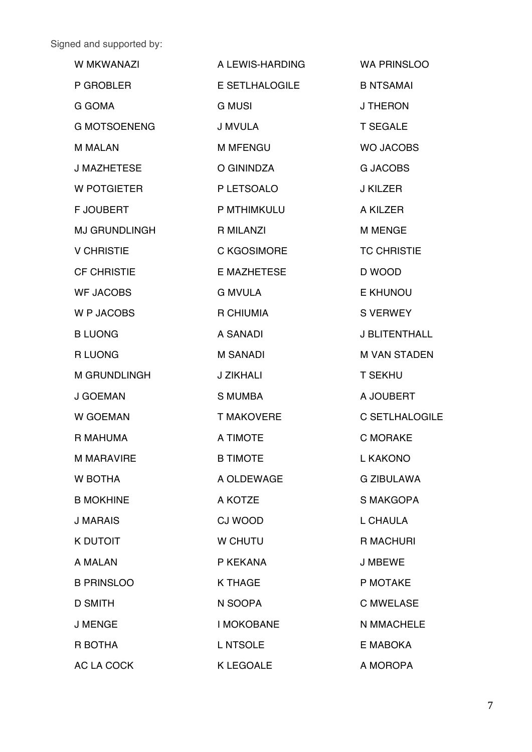Signed and supported by:

| W MKWANAZI          | A LEWIS-HARDING    | <b>WA PRINSLOO</b>   |
|---------------------|--------------------|----------------------|
| P GROBLER           | E SETLHALOGILE     | <b>B NTSAMAI</b>     |
| G GOMA              | <b>G MUSI</b>      | <b>J THERON</b>      |
| <b>G MOTSOENENG</b> | J MVULA            | <b>T SEGALE</b>      |
| <b>M MALAN</b>      | <b>M MFENGU</b>    | <b>WO JACOBS</b>     |
| <b>J MAZHETESE</b>  | O GININDZA         | <b>G JACOBS</b>      |
| W POTGIETER         | P LETSOALO         | J KILZER             |
| <b>F JOUBERT</b>    | P MTHIMKULU        | A KILZER             |
| MJ GRUNDLINGH       | <b>R MILANZI</b>   | <b>M MENGE</b>       |
| <b>V CHRISTIE</b>   | C KGOSIMORE        | <b>TC CHRISTIE</b>   |
| <b>CF CHRISTIE</b>  | <b>E MAZHETESE</b> | D WOOD               |
| <b>WF JACOBS</b>    | <b>G MVULA</b>     | E KHUNOU             |
| W P JACOBS          | R CHIUMIA          | <b>S VERWEY</b>      |
| <b>B LUONG</b>      | A SANADI           | <b>J BLITENTHALL</b> |
| <b>RLUONG</b>       | <b>M SANADI</b>    | <b>M VAN STADEN</b>  |
| M GRUNDLINGH        | J ZIKHALI          | <b>T SEKHU</b>       |
| J GOEMAN            | <b>S MUMBA</b>     | A JOUBERT            |
| <b>W GOEMAN</b>     | T MAKOVERE         | C SETLHALOGILE       |
| R MAHUMA            | A TIMOTE           | <b>C MORAKE</b>      |
| <b>M MARAVIRE</b>   | <b>B TIMOTE</b>    | <b>LIKAKONO</b>      |
| <b>W BOTHA</b>      | A OLDEWAGE         | <b>G ZIBULAWA</b>    |
| <b>B MOKHINE</b>    | A KOTZE            | S MAKGOPA            |
| <b>J MARAIS</b>     | <b>CJ WOOD</b>     | L CHAULA             |
| <b>K DUTOIT</b>     | <b>W CHUTU</b>     | <b>R MACHURI</b>     |
| A MALAN             | P KEKANA           | <b>J MBEWE</b>       |
| <b>B PRINSLOO</b>   | <b>K THAGE</b>     | P MOTAKE             |
| <b>D SMITH</b>      | N SOOPA            | <b>C MWELASE</b>     |
| <b>J MENGE</b>      | <b>I MOKOBANE</b>  | N MMACHELE           |
| R BOTHA             | L NTSOLE           | E MABOKA             |
| AC LA COCK          | <b>K LEGOALE</b>   | A MOROPA             |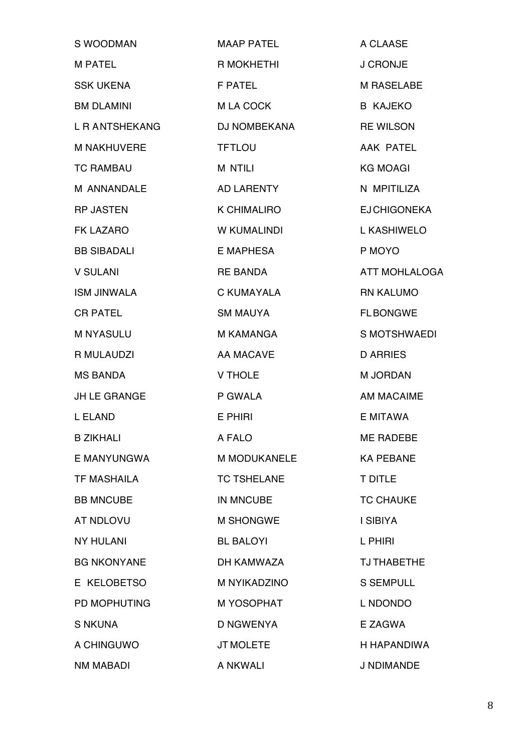| S WOODMAN           | <b>MAAP PATEL</b>        | A CLAASE                  |
|---------------------|--------------------------|---------------------------|
| <b>M PATEL</b>      | R MOKHETHI               | <b>J CRONJE</b>           |
| <b>SSK UKENA</b>    | <b>F PATEL</b>           | <b>M RASELABE</b>         |
| <b>BM DLAMINI</b>   | M LA COCK                | <b>B KAJEKO</b>           |
| L R ANTSHEKANG      | DJ NOMBEKANA             | <b>RE WILSON</b>          |
| <b>M NAKHUVERE</b>  | <b>TFTLOU</b>            | <b>AAK PATEL</b>          |
| <b>TC RAMBAU</b>    | <b>M NTILI</b>           | <b>KG MOAGI</b>           |
| M ANNANDALE         | AD LARENTY               | N MPITILIZA               |
| <b>RP JASTEN</b>    | <b>K CHIMALIRO</b>       | <b>EJCHIGONEKA</b>        |
| <b>FK LAZARO</b>    | <b>W KUMALINDI</b>       | L KASHIWELO               |
| <b>BB SIBADALI</b>  | E MAPHESA                | P MOYO                    |
| <b>V SULANI</b>     | <b>RE BANDA</b>          | ATT MOHLALOGA             |
| <b>ISM JINWALA</b>  | <b>C KUMAYALA</b>        | <b>RN KALUMO</b>          |
| <b>CR PATEL</b>     | <b>SM MAUYA</b>          | <b>FLBONGWE</b>           |
| <b>M NYASULU</b>    | <b>M KAMANGA</b>         | S MOTSHWAEDI              |
| R MULAUDZI          | <b>AA MACAVE</b>         | <b>D ARRIES</b>           |
| <b>MS BANDA</b>     | <b>V THOLE</b>           | <b>M JORDAN</b>           |
| <b>JH LE GRANGE</b> | P GWALA                  | <b>AM MACAIME</b>         |
| L ELAND             | E PHIRI                  | E MITAWA                  |
| <b>B ZIKHALI</b>    | <b>Example 20 A FALO</b> | <b>EXAMPLE THE RADEBE</b> |
| E MANYUNGWA         | <b>M MODUKANELE</b>      | <b>KA PEBANE</b>          |
| <b>TF MASHAILA</b>  | <b>TC TSHELANE</b>       | <b>T DITLE</b>            |
| <b>BB MNCUBE</b>    | <b>IN MNCUBE</b>         | <b>TC CHAUKE</b>          |
| <b>AT NDLOVU</b>    | <b>M SHONGWE</b>         | I SIBIYA                  |
| <b>NY HULANI</b>    | <b>BL BALOYI</b>         | L PHIRI                   |
| <b>BG NKONYANE</b>  | DH KAMWAZA               | <b>TJ THABETHE</b>        |
| E KELOBETSO         | M NYIKADZINO             | <b>S SEMPULL</b>          |
| <b>PD MOPHUTING</b> | M YOSOPHAT               | L NDONDO                  |
| <b>S NKUNA</b>      | <b>D NGWENYA</b>         | E ZAGWA                   |
| A CHINGUWO          | JT MOLETE                | H HAPANDIWA               |
| <b>NM MABADI</b>    | A NKWALI                 | J NDIMANDE                |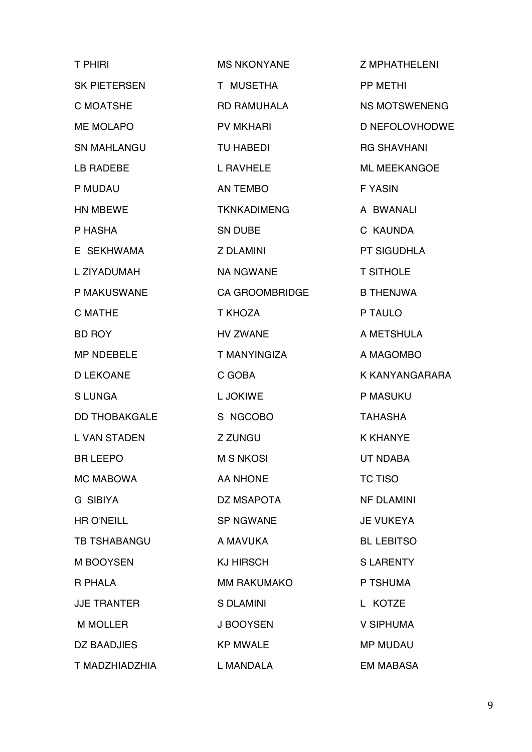| <b>T PHIRI</b>       | <b>MS NKONYANE</b>          | <b>Z MPHATHELENI</b> |
|----------------------|-----------------------------|----------------------|
| SK PIETERSEN         | T MUSETHA                   | PP METHI             |
| <b>C MOATSHE</b>     | <b>RD RAMUHALA</b>          | <b>NS MOTSWENENG</b> |
| <b>ME MOLAPO</b>     | <b>PV MKHARI</b>            | D NEFOLOVHODWE       |
| <b>SN MAHLANGU</b>   | TU HABEDI                   | <b>RG SHAVHANI</b>   |
| LB RADEBE            | L RAVHELE                   | <b>ML MEEKANGOE</b>  |
| P MUDAU              | AN TEMBO                    | <b>FYASIN</b>        |
| HN MBEWE             | <b>TKNKADIMENG</b>          | A BWANALI            |
| P HASHA              | SN DUBE                     | C KAUNDA             |
| E SEKHWAMA           | <b>Z DLAMINI</b>            | <b>PT SIGUDHLA</b>   |
| L ZIYADUMAH          | <b>NA NGWANE</b>            | <b>T SITHOLE</b>     |
| P MAKUSWANE          | <b>CA GROOMBRIDGE</b>       | <b>B THENJWA</b>     |
| <b>C MATHE</b>       | T KHOZA                     | P TAULO              |
| <b>BD ROY</b>        | <b>HV ZWANE</b>             | A METSHULA           |
| <b>MP NDEBELE</b>    | T MANYINGIZA                | A MAGOMBO            |
| <b>D LEKOANE</b>     | C GOBA                      | K KANYANGARARA       |
| <b>SLUNGA</b>        | L JOKIWE                    | P MASUKU             |
| <b>DD THOBAKGALE</b> | S NGCOBO                    | <b>TAHASHA</b>       |
| <b>L VAN STADEN</b>  | <b>Z ZUNGU</b>              | <b>K KHANYE</b>      |
| <b>BR LEEPO</b>      | <b>Example 12 M S NKOSI</b> | <b>UT NDABA</b>      |
| <b>MC MABOWA</b>     | <b>AA NHONE</b>             | <b>TC TISO</b>       |
| <b>G SIBIYA</b>      | DZ MSAPOTA                  | <b>NF DLAMINI</b>    |
| <b>HR O'NEILL</b>    | <b>SP NGWANE</b>            | <b>JE VUKEYA</b>     |
| TB TSHABANGU         | A MAVUKA                    | <b>BL LEBITSO</b>    |
| M BOOYSEN            | <b>KJ HIRSCH</b>            | <b>SLARENTY</b>      |
| R PHALA              | <b>MM RAKUMAKO</b>          | P TSHUMA             |
| <b>JJE TRANTER</b>   | <b>S DLAMINI</b>            | L KOTZE              |
| <b>M MOLLER</b>      | J BOOYSEN                   | <b>V SIPHUMA</b>     |
| DZ BAADJIES          | <b>KP MWALE</b>             | <b>MP MUDAU</b>      |
| T MADZHIADZHIA       | L MANDALA                   | <b>EM MABASA</b>     |